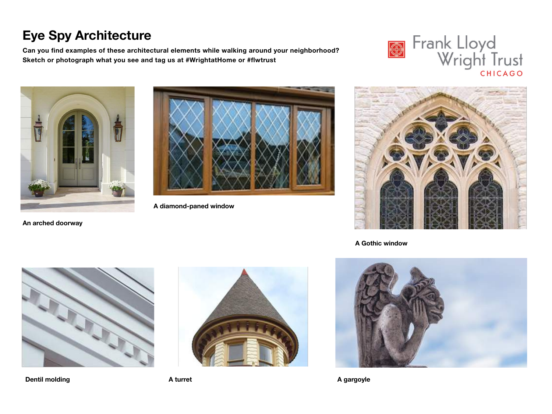## **Eye Spy Architecture**

**Can you find examples of these architectural elements while walking around your neighborhood? Sketch or photograph what you see and tag us at #WrightatHome or #flwtrust**





**An arched doorway**



**A diamond-paned window**



**A Gothic window**



**Dentil molding A turret** 





**A gargoyle**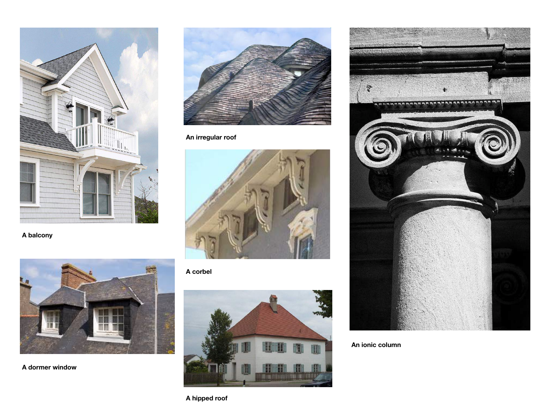

**A balcony**



**A dormer window**



**An irregular roof**



**A corbel**





**An ionic column**